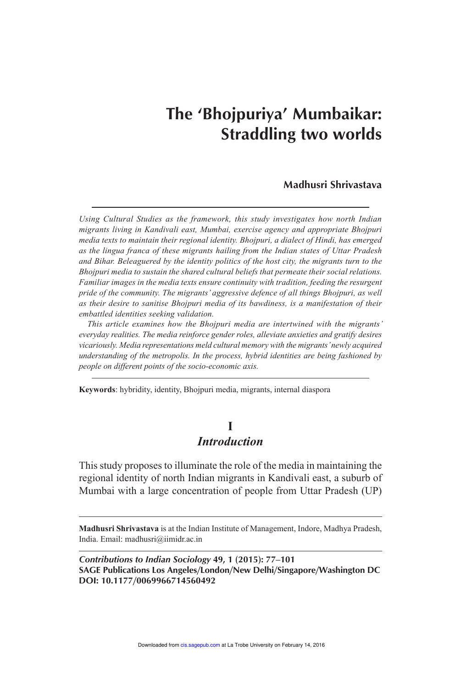# **The 'Bhojpuriya' Mumbaikar: Straddling two worlds**

## **Madhusri Shrivastava**

*Using Cultural Studies as the framework, this study investigates how north Indian migrants living in Kandivali east, Mumbai, exercise agency and appropriate Bhojpuri media texts to maintain their regional identity. Bhojpuri, a dialect of Hindi, has emerged as the lingua franca of these migrants hailing from the Indian states of Uttar Pradesh and Bihar. Beleaguered by the identity politics of the host city, the migrants turn to the Bhojpuri media to sustain the shared cultural beliefs that permeate their social relations. Familiar images in the media texts ensure continuity with tradition, feeding the resurgent pride of the community. The migrants' aggressive defence of all things Bhojpuri, as well as their desire to sanitise Bhojpuri media of its bawdiness, is a manifestation of their embattled identities seeking validation.* 

 *This article examines how the Bhojpuri media are intertwined with the migrants' everyday realities. The media reinforce gender roles, alleviate anxieties and gratify desires vicariously. Media representations meld cultural memory with the migrants' newly acquired understanding of the metropolis. In the process, hybrid identities are being fashioned by people on different points of the socio-economic axis.* 

**Keywords**: hybridity, identity, Bhojpuri media, migrants, internal diaspora

## **I** *Introduction*

This study proposes to illuminate the role of the media in maintaining the regional identity of north Indian migrants in Kandivali east, a suburb of Mumbai with a large concentration of people from Uttar Pradesh (UP)

**Madhusri Shrivastava** is at the Indian Institute of Management, Indore, Madhya Pradesh, India. Email: madhusri@iimidr.ac.in

*Contributions to Indian Sociology* **49, 1 (2015): 77–101 SAGE Publications Los Angeles/London/New Delhi/Singapore/Washington DC DOI: 10.1177/0069966714560492**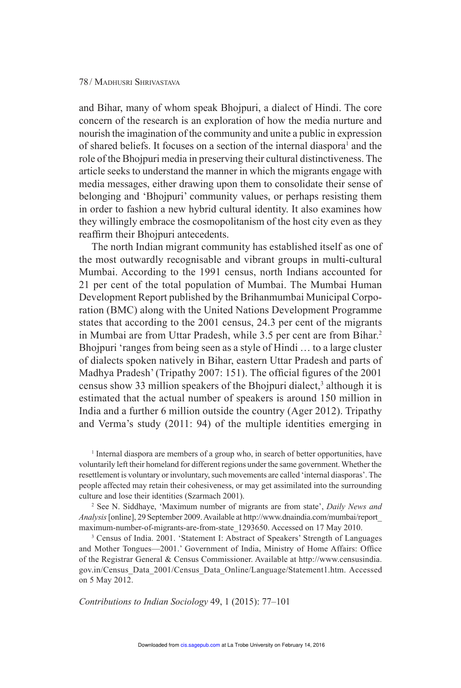and Bihar, many of whom speak Bhojpuri, a dialect of Hindi. The core concern of the research is an exploration of how the media nurture and nourish the imagination of the community and unite a public in expression of shared beliefs. It focuses on a section of the internal diaspora<sup>1</sup> and the role of the Bhojpuri media in preserving their cultural distinctiveness. The article seeks to understand the manner in which the migrants engage with media messages, either drawing upon them to consolidate their sense of belonging and 'Bhojpuri' community values, or perhaps resisting them in order to fashion a new hybrid cultural identity. It also examines how they willingly embrace the cosmopolitanism of the host city even as they reaffirm their Bhojpuri antecedents.

The north Indian migrant community has established itself as one of the most outwardly recognisable and vibrant groups in multi-cultural Mumbai. According to the 1991 census, north Indians accounted for 21 per cent of the total population of Mumbai. The Mumbai Human Development Report published by the Brihanmumbai Municipal Corporation (BMC) along with the United Nations Development Programme states that according to the 2001 census, 24.3 per cent of the migrants in Mumbai are from Uttar Pradesh, while 3.5 per cent are from Bihar.<sup>2</sup> Bhojpuri 'ranges from being seen as a style of Hindi … to a large cluster of dialects spoken natively in Bihar, eastern Uttar Pradesh and parts of Madhya Pradesh' (Tripathy 2007: 151). The official figures of the 2001 census show 33 million speakers of the Bhojpuri dialect, $<sup>3</sup>$  although it is</sup> estimated that the actual number of speakers is around 150 million in India and a further 6 million outside the country (Ager 2012). Tripathy and Verma's study (2011: 94) of the multiple identities emerging in

<sup>1</sup> Internal diaspora are members of a group who, in search of better opportunities, have voluntarily left their homeland for different regions under the same government. Whether the resettlement is voluntary or involuntary, such movements are called 'internal diasporas'. The people affected may retain their cohesiveness, or may get assimilated into the surrounding culture and lose their identities (Szarmach 2001).

2 See N. Siddhaye, 'Maximum number of migrants are from state', *Daily News and Analysis* [online], 29 September 2009. Available at http://www.dnaindia.com/mumbai/report\_ maximum-number-of-migrants-are-from-state 1293650. Accessed on 17 May 2010.

3 Census of India. 2001. 'Statement I: Abstract of Speakers' Strength of Languages and Mother Tongues—2001.' Government of India, Ministry of Home Affairs: Office of the Registrar General & Census Commissioner. Available at http://www.censusindia. gov.in/Census\_Data\_2001/Census\_Data\_Online/Language/Statement1.htm. Accessed on 5 May 2012.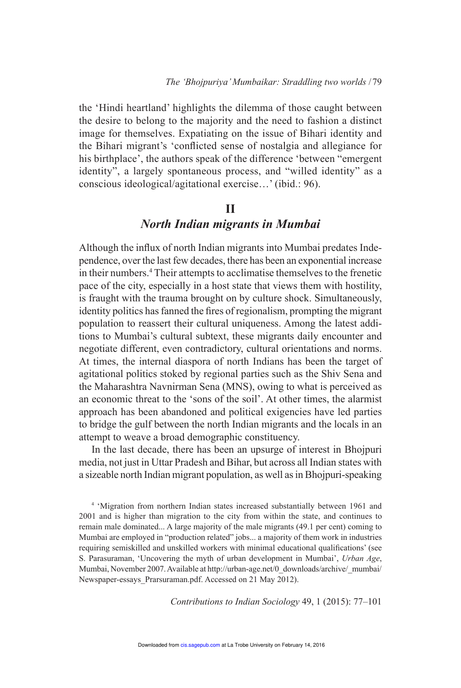the 'Hindi heartland' highlights the dilemma of those caught between the desire to belong to the majority and the need to fashion a distinct image for themselves. Expatiating on the issue of Bihari identity and the Bihari migrant's 'conflicted sense of nostalgia and allegiance for his birthplace', the authors speak of the difference 'between "emergent identity", a largely spontaneous process, and "willed identity" as a conscious ideological/agitational exercise…' (ibid.: 96).

#### **II**

## *North Indian migrants in Mumbai*

Although the influx of north Indian migrants into Mumbai predates Independence, over the last few decades, there has been an exponential increase in their numbers.<sup>4</sup> Their attempts to acclimatise themselves to the frenetic pace of the city, especially in a host state that views them with hostility, is fraught with the trauma brought on by culture shock. Simultaneously, identity politics has fanned the fires of regionalism, prompting the migrant population to reassert their cultural uniqueness. Among the latest additions to Mumbai's cultural subtext, these migrants daily encounter and negotiate different, even contradictory, cultural orientations and norms. At times, the internal diaspora of north Indians has been the target of agitational politics stoked by regional parties such as the Shiv Sena and the Maharashtra Navnirman Sena (MNS), owing to what is perceived as an economic threat to the 'sons of the soil'. At other times, the alarmist approach has been abandoned and political exigencies have led parties to bridge the gulf between the north Indian migrants and the locals in an attempt to weave a broad demographic constituency.

In the last decade, there has been an upsurge of interest in Bhojpuri media, not just in Uttar Pradesh and Bihar, but across all Indian states with a sizeable north Indian migrant population, as well as in Bhojpuri-speaking

4 'Migration from northern Indian states increased substantially between 1961 and 2001 and is higher than migration to the city from within the state, and continues to remain male dominated... A large majority of the male migrants (49.1 per cent) coming to Mumbai are employed in "production related" jobs... a majority of them work in industries requiring semiskilled and unskilled workers with minimal educational qualifications' (see S. Parasuraman, 'Uncovering the myth of urban development in Mumbai', *Urban Age*, Mumbai, November 2007. Available at http://urban-age.net/0\_downloads/archive/\_mumbai/ Newspaper-essays\_Prarsuraman.pdf. Accessed on 21 May 2012).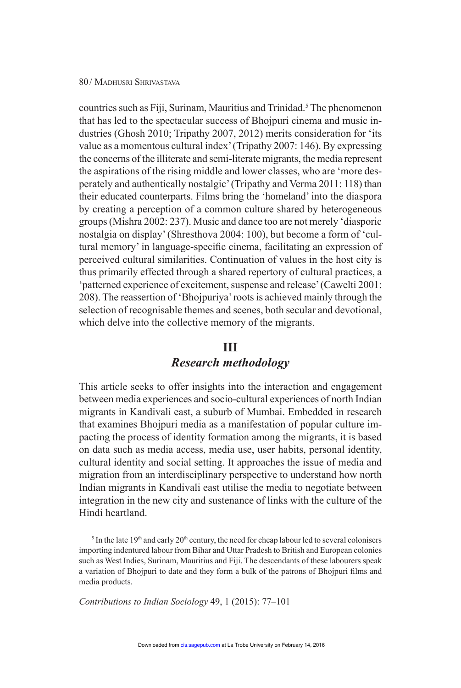countries such as Fiji, Surinam, Mauritius and Trinidad.<sup>5</sup> The phenomenon that has led to the spectacular success of Bhojpuri cinema and music industries (Ghosh 2010; Tripathy 2007, 2012) merits consideration for 'its value as a momentous cultural index' (Tripathy 2007: 146). By expressing the concerns of the illiterate and semi-literate migrants, the media represent the aspirations of the rising middle and lower classes, who are 'more desperately and authentically nostalgic' (Tripathy and Verma 2011: 118) than their educated counterparts. Films bring the 'homeland' into the diaspora by creating a perception of a common culture shared by heterogeneous groups (Mishra 2002: 237). Music and dance too are not merely 'diasporic nostalgia on display' (Shresthova 2004: 100), but become a form of 'cultural memory' in language-specific cinema, facilitating an expression of perceived cultural similarities. Continuation of values in the host city is thus primarily effected through a shared repertory of cultural practices, a 'patterned experience of excitement, suspense and release' (Cawelti 2001: 208). The reassertion of 'Bhojpuriya' roots is achieved mainly through the selection of recognisable themes and scenes, both secular and devotional, which delve into the collective memory of the migrants.

## **III**

## *Research methodology*

This article seeks to offer insights into the interaction and engagement between media experiences and socio-cultural experiences of north Indian migrants in Kandivali east, a suburb of Mumbai. Embedded in research that examines Bhojpuri media as a manifestation of popular culture impacting the process of identity formation among the migrants, it is based on data such as media access, media use, user habits, personal identity, cultural identity and social setting. It approaches the issue of media and migration from an interdisciplinary perspective to understand how north Indian migrants in Kandivali east utilise the media to negotiate between integration in the new city and sustenance of links with the culture of the Hindi heartland.

 $5$  In the late 19<sup>th</sup> and early 20<sup>th</sup> century, the need for cheap labour led to several colonisers importing indentured labour from Bihar and Uttar Pradesh to British and European colonies such as West Indies, Surinam, Mauritius and Fiji. The descendants of these labourers speak a variation of Bhojpuri to date and they form a bulk of the patrons of Bhojpuri films and media products.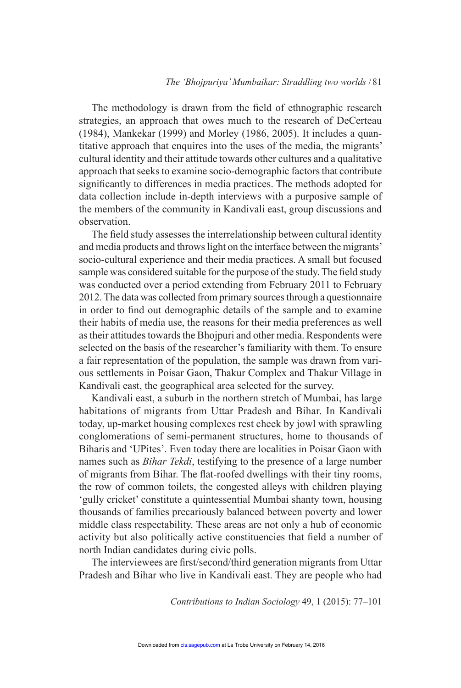The methodology is drawn from the field of ethnographic research strategies, an approach that owes much to the research of DeCerteau (1984), Mankekar (1999) and Morley (1986, 2005). It includes a quantitative approach that enquires into the uses of the media, the migrants' cultural identity and their attitude towards other cultures and a qualitative approach that seeks to examine socio-demographic factors that contribute significantly to differences in media practices. The methods adopted for data collection include in-depth interviews with a purposive sample of the members of the community in Kandivali east, group discussions and observation.

The field study assesses the interrelationship between cultural identity and media products and throws light on the interface between the migrants' socio-cultural experience and their media practices. A small but focused sample was considered suitable for the purpose of the study. The field study was conducted over a period extending from February 2011 to February 2012. The data was collected from primary sources through a questionnaire in order to find out demographic details of the sample and to examine their habits of media use, the reasons for their media preferences as well as their attitudes towards the Bhojpuri and other media. Respondents were selected on the basis of the researcher's familiarity with them. To ensure a fair representation of the population, the sample was drawn from various settlements in Poisar Gaon, Thakur Complex and Thakur Village in Kandivali east, the geographical area selected for the survey.

Kandivali east, a suburb in the northern stretch of Mumbai, has large habitations of migrants from Uttar Pradesh and Bihar. In Kandivali today, up-market housing complexes rest cheek by jowl with sprawling conglomerations of semi-permanent structures, home to thousands of Biharis and 'UPites'. Even today there are localities in Poisar Gaon with names such as *Bihar Tekdi*, testifying to the presence of a large number of migrants from Bihar. The flat-roofed dwellings with their tiny rooms, the row of common toilets, the congested alleys with children playing 'gully cricket' constitute a quintessential Mumbai shanty town, housing thousands of families precariously balanced between poverty and lower middle class respectability. These areas are not only a hub of economic activity but also politically active constituencies that field a number of north Indian candidates during civic polls.

The interviewees are first/second/third generation migrants from Uttar Pradesh and Bihar who live in Kandivali east. They are people who had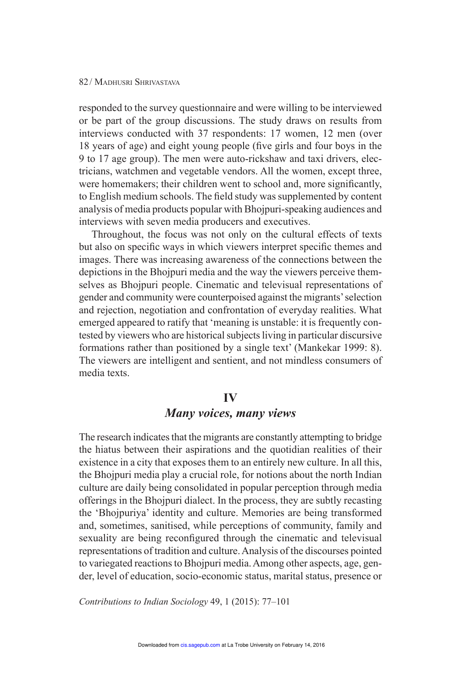responded to the survey questionnaire and were willing to be interviewed or be part of the group discussions. The study draws on results from interviews conducted with 37 respondents: 17 women, 12 men (over 18 years of age) and eight young people (five girls and four boys in the 9 to 17 age group). The men were auto-rickshaw and taxi drivers, electricians, watchmen and vegetable vendors. All the women, except three, were homemakers; their children went to school and, more significantly, to English medium schools. The field study was supplemented by content analysis of media products popular with Bhojpuri-speaking audiences and interviews with seven media producers and executives.

Throughout, the focus was not only on the cultural effects of texts but also on specific ways in which viewers interpret specific themes and images. There was increasing awareness of the connections between the depictions in the Bhojpuri media and the way the viewers perceive themselves as Bhojpuri people. Cinematic and televisual representations of gender and community were counterpoised against the migrants' selection and rejection, negotiation and confrontation of everyday realities. What emerged appeared to ratify that 'meaning is unstable: it is frequently contested by viewers who are historical subjects living in particular discursive formations rather than positioned by a single text' (Mankekar 1999: 8). The viewers are intelligent and sentient, and not mindless consumers of media texts.

#### **IV**

# *Many voices, many views*

The research indicates that the migrants are constantly attempting to bridge the hiatus between their aspirations and the quotidian realities of their existence in a city that exposes them to an entirely new culture. In all this, the Bhojpuri media play a crucial role, for notions about the north Indian culture are daily being consolidated in popular perception through media offerings in the Bhojpuri dialect. In the process, they are subtly recasting the 'Bhojpuriya' identity and culture. Memories are being transformed and, sometimes, sanitised, while perceptions of community, family and sexuality are being reconfigured through the cinematic and televisual representations of tradition and culture. Analysis of the discourses pointed to variegated reactions to Bhojpuri media. Among other aspects, age, gender, level of education, socio-economic status, marital status, presence or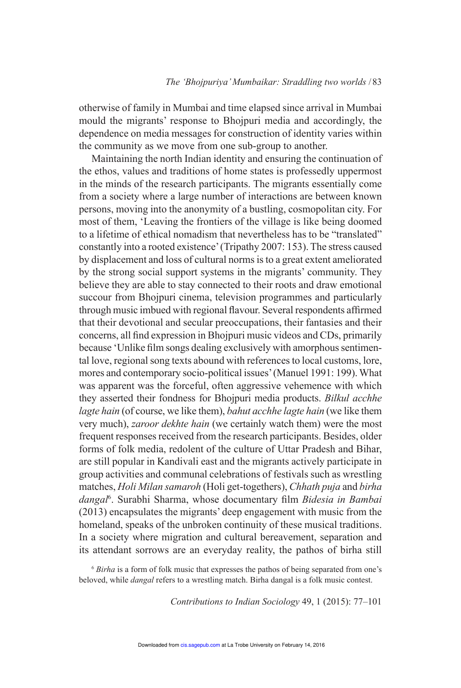otherwise of family in Mumbai and time elapsed since arrival in Mumbai mould the migrants' response to Bhojpuri media and accordingly, the dependence on media messages for construction of identity varies within the community as we move from one sub-group to another.

Maintaining the north Indian identity and ensuring the continuation of the ethos, values and traditions of home states is professedly uppermost in the minds of the research participants. The migrants essentially come from a society where a large number of interactions are between known persons, moving into the anonymity of a bustling, cosmopolitan city. For most of them, 'Leaving the frontiers of the village is like being doomed to a lifetime of ethical nomadism that nevertheless has to be "translated" constantly into a rooted existence' (Tripathy 2007: 153). The stress caused by displacement and loss of cultural norms is to a great extent ameliorated by the strong social support systems in the migrants' community. They believe they are able to stay connected to their roots and draw emotional succour from Bhojpuri cinema, television programmes and particularly through music imbued with regional flavour. Several respondents affirmed that their devotional and secular preoccupations, their fantasies and their concerns, all find expression in Bhojpuri music videos and CDs, primarily because 'Unlike film songs dealing exclusively with amorphous sentimental love, regional song texts abound with references to local customs, lore, mores and contemporary socio-political issues' (Manuel 1991: 199). What was apparent was the forceful, often aggressive vehemence with which they asserted their fondness for Bhojpuri media products. *Bilkul acchhe lagte hain* (of course, we like them), *bahut acchhe lagte hain* (we like them very much), *zaroor dekhte hain* (we certainly watch them) were the most frequent responses received from the research participants. Besides, older forms of folk media, redolent of the culture of Uttar Pradesh and Bihar, are still popular in Kandivali east and the migrants actively participate in group activities and communal celebrations of festivals such as wrestling matches, *Holi Milan samaroh* (Holi get-togethers), *Chhath puja* and *birha dangal*<sup>6</sup> . Surabhi Sharma, whose documentary film *Bidesia in Bambai*  (2013) encapsulates the migrants' deep engagement with music from the homeland, speaks of the unbroken continuity of these musical traditions. In a society where migration and cultural bereavement, separation and its attendant sorrows are an everyday reality, the pathos of birha still

<sup>6</sup> *Birha* is a form of folk music that expresses the pathos of being separated from one's beloved, while *dangal* refers to a wrestling match. Birha dangal is a folk music contest.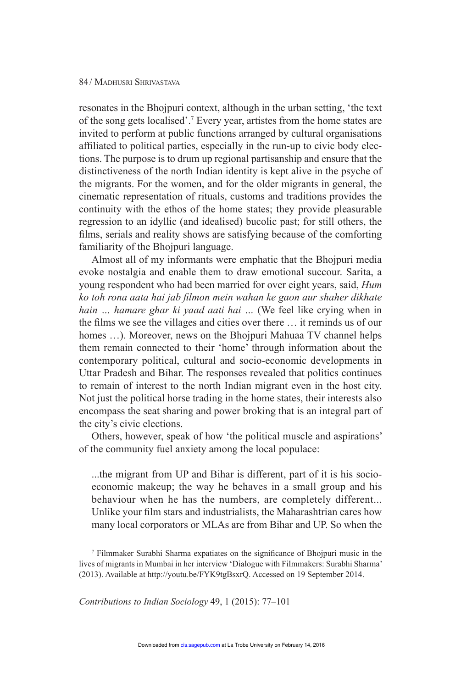resonates in the Bhojpuri context, although in the urban setting, 'the text of the song gets localised'.<sup>7</sup> Every year, artistes from the home states are invited to perform at public functions arranged by cultural organisations affiliated to political parties, especially in the run-up to civic body elections. The purpose is to drum up regional partisanship and ensure that the distinctiveness of the north Indian identity is kept alive in the psyche of the migrants. For the women, and for the older migrants in general, the cinematic representation of rituals, customs and traditions provides the continuity with the ethos of the home states; they provide pleasurable regression to an idyllic (and idealised) bucolic past; for still others, the films, serials and reality shows are satisfying because of the comforting familiarity of the Bhojpuri language.

Almost all of my informants were emphatic that the Bhojpuri media evoke nostalgia and enable them to draw emotional succour. Sarita, a young respondent who had been married for over eight years, said, *Hum ko toh rona aata hai jab filmon mein wahan ke gaon aur shaher dikhate hain … hamare ghar ki yaad aati hai …* (We feel like crying when in the films we see the villages and cities over there … it reminds us of our homes ...). Moreover, news on the Bhojpuri Mahuaa TV channel helps them remain connected to their 'home' through information about the contemporary political, cultural and socio-economic developments in Uttar Pradesh and Bihar. The responses revealed that politics continues to remain of interest to the north Indian migrant even in the host city. Not just the political horse trading in the home states, their interests also encompass the seat sharing and power broking that is an integral part of the city's civic elections.

Others, however, speak of how 'the political muscle and aspirations' of the community fuel anxiety among the local populace:

...the migrant from UP and Bihar is different, part of it is his socioeconomic makeup; the way he behaves in a small group and his behaviour when he has the numbers, are completely different... Unlike your film stars and industrialists, the Maharashtrian cares how many local corporators or MLAs are from Bihar and UP. So when the

7 Filmmaker Surabhi Sharma expatiates on the significance of Bhojpuri music in the lives of migrants in Mumbai in her interview 'Dialogue with Filmmakers: Surabhi Sharma' (2013). Available at http://youtu.be/FYK9tgBsxrQ. Accessed on 19 September 2014.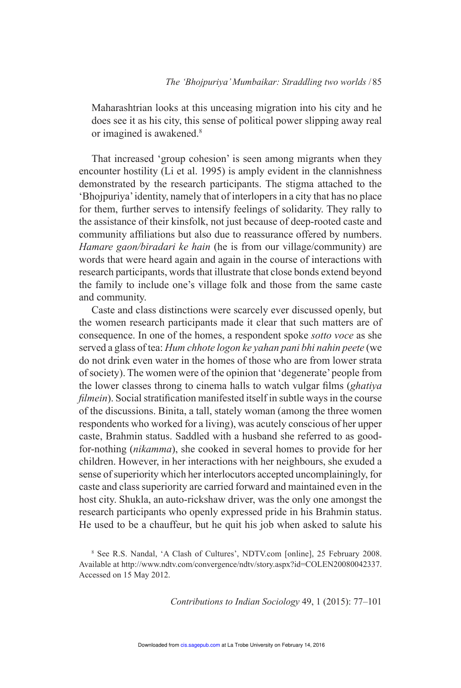Maharashtrian looks at this unceasing migration into his city and he does see it as his city, this sense of political power slipping away real or imagined is awakened.<sup>8</sup>

That increased 'group cohesion' is seen among migrants when they encounter hostility (Li et al. 1995) is amply evident in the clannishness demonstrated by the research participants. The stigma attached to the 'Bhojpuriya' identity, namely that of interlopers in a city that has no place for them, further serves to intensify feelings of solidarity. They rally to the assistance of their kinsfolk, not just because of deep-rooted caste and community affiliations but also due to reassurance offered by numbers. *Hamare gaon/biradari ke hain* (he is from our village/community) are words that were heard again and again in the course of interactions with research participants, words that illustrate that close bonds extend beyond the family to include one's village folk and those from the same caste and community.

Caste and class distinctions were scarcely ever discussed openly, but the women research participants made it clear that such matters are of consequence. In one of the homes, a respondent spoke *sotto voce* as she served a glass of tea: *Hum chhote logon ke yahan pani bhi nahin peete* (we do not drink even water in the homes of those who are from lower strata of society). The women were of the opinion that 'degenerate' people from the lower classes throng to cinema halls to watch vulgar films (*ghatiya filmein*). Social stratification manifested itself in subtle ways in the course of the discussions. Binita, a tall, stately woman (among the three women respondents who worked for a living), was acutely conscious of her upper caste, Brahmin status. Saddled with a husband she referred to as goodfor-nothing (*nikamma*), she cooked in several homes to provide for her children. However, in her interactions with her neighbours, she exuded a sense of superiority which her interlocutors accepted uncomplainingly, for caste and class superiority are carried forward and maintained even in the host city. Shukla, an auto-rickshaw driver, was the only one amongst the research participants who openly expressed pride in his Brahmin status. He used to be a chauffeur, but he quit his job when asked to salute his

8 See R.S. Nandal, 'A Clash of Cultures', NDTV.com [online], 25 February 2008. Available at http://www.ndtv.com/convergence/ndtv/story.aspx?id=COLEN20080042337. Accessed on 15 May 2012.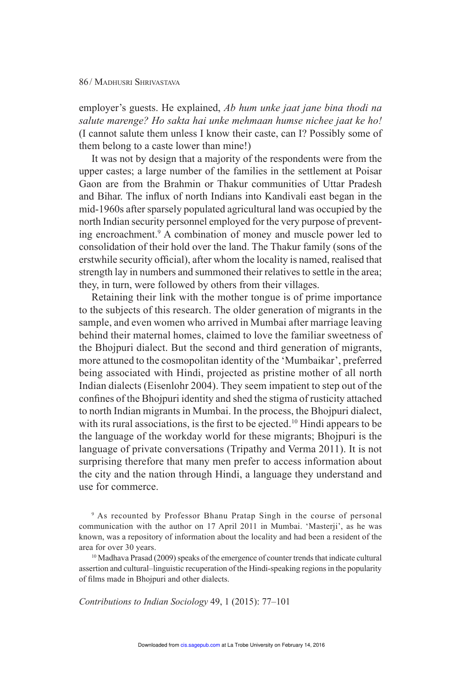employer's guests. He explained, *Ab hum unke jaat jane bina thodi na salute marenge? Ho sakta hai unke mehmaan humse nichee jaat ke ho!*  (I cannot salute them unless I know their caste, can I? Possibly some of them belong to a caste lower than mine!)

It was not by design that a majority of the respondents were from the upper castes; a large number of the families in the settlement at Poisar Gaon are from the Brahmin or Thakur communities of Uttar Pradesh and Bihar. The influx of north Indians into Kandivali east began in the mid-1960s after sparsely populated agricultural land was occupied by the north Indian security personnel employed for the very purpose of preventing encroachment.<sup>9</sup> A combination of money and muscle power led to consolidation of their hold over the land. The Thakur family (sons of the erstwhile security official), after whom the locality is named, realised that strength lay in numbers and summoned their relatives to settle in the area; they, in turn, were followed by others from their villages.

Retaining their link with the mother tongue is of prime importance to the subjects of this research. The older generation of migrants in the sample, and even women who arrived in Mumbai after marriage leaving behind their maternal homes, claimed to love the familiar sweetness of the Bhojpuri dialect. But the second and third generation of migrants, more attuned to the cosmopolitan identity of the 'Mumbaikar', preferred being associated with Hindi, projected as pristine mother of all north Indian dialects (Eisenlohr 2004). They seem impatient to step out of the confines of the Bhojpuri identity and shed the stigma of rusticity attached to north Indian migrants in Mumbai. In the process, the Bhojpuri dialect, with its rural associations, is the first to be ejected.<sup>10</sup> Hindi appears to be the language of the workday world for these migrants; Bhojpuri is the language of private conversations (Tripathy and Verma 2011). It is not surprising therefore that many men prefer to access information about the city and the nation through Hindi, a language they understand and use for commerce.

9 As recounted by Professor Bhanu Pratap Singh in the course of personal communication with the author on 17 April 2011 in Mumbai. 'Masterji', as he was known, was a repository of information about the locality and had been a resident of the area for over 30 years.

<sup>10</sup> Madhava Prasad (2009) speaks of the emergence of counter trends that indicate cultural assertion and cultural–linguistic recuperation of the Hindi-speaking regions in the popularity of films made in Bhojpuri and other dialects.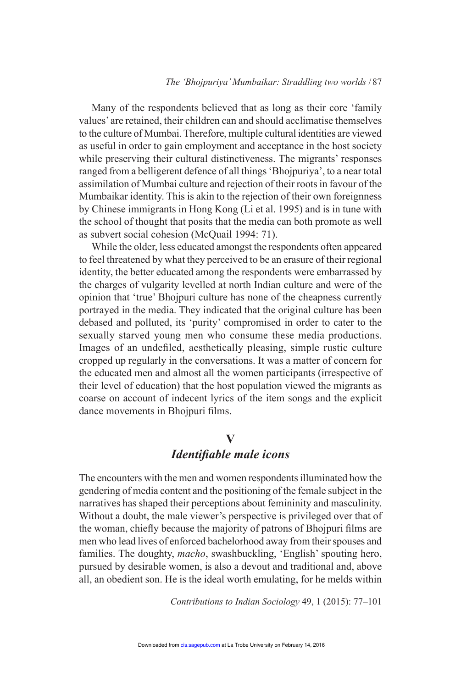Many of the respondents believed that as long as their core 'family values' are retained, their children can and should acclimatise themselves to the culture of Mumbai. Therefore, multiple cultural identities are viewed as useful in order to gain employment and acceptance in the host society while preserving their cultural distinctiveness. The migrants' responses ranged from a belligerent defence of all things 'Bhojpuriya', to a near total assimilation of Mumbai culture and rejection of their roots in favour of the Mumbaikar identity. This is akin to the rejection of their own foreignness by Chinese immigrants in Hong Kong (Li et al. 1995) and is in tune with the school of thought that posits that the media can both promote as well as subvert social cohesion (McQuail 1994: 71).

While the older, less educated amongst the respondents often appeared to feel threatened by what they perceived to be an erasure of their regional identity, the better educated among the respondents were embarrassed by the charges of vulgarity levelled at north Indian culture and were of the opinion that 'true' Bhojpuri culture has none of the cheapness currently portrayed in the media. They indicated that the original culture has been debased and polluted, its 'purity' compromised in order to cater to the sexually starved young men who consume these media productions. Images of an undefiled, aesthetically pleasing, simple rustic culture cropped up regularly in the conversations. It was a matter of concern for the educated men and almost all the women participants (irrespective of their level of education) that the host population viewed the migrants as coarse on account of indecent lyrics of the item songs and the explicit dance movements in Bhojpuri films.

## **V**

# *Identifiable male icons*

The encounters with the men and women respondents illuminated how the gendering of media content and the positioning of the female subject in the narratives has shaped their perceptions about femininity and masculinity. Without a doubt, the male viewer's perspective is privileged over that of the woman, chiefly because the majority of patrons of Bhojpuri films are men who lead lives of enforced bachelorhood away from their spouses and families. The doughty, *macho*, swashbuckling, 'English' spouting hero, pursued by desirable women, is also a devout and traditional and, above all, an obedient son. He is the ideal worth emulating, for he melds within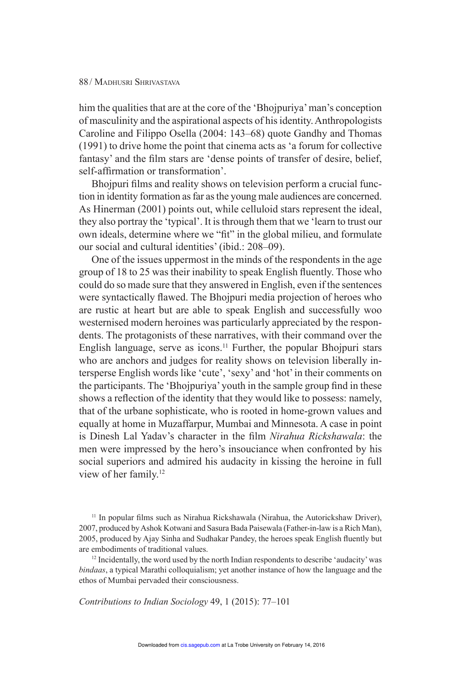him the qualities that are at the core of the 'Bhojpuriya' man's conception of masculinity and the aspirational aspects of his identity. Anthropologists Caroline and Filippo Osella (2004: 143–68) quote Gandhy and Thomas (1991) to drive home the point that cinema acts as 'a forum for collective fantasy' and the film stars are 'dense points of transfer of desire, belief, self-affirmation or transformation'.

Bhojpuri films and reality shows on television perform a crucial function in identity formation as far as the young male audiences are concerned. As Hinerman (2001) points out, while celluloid stars represent the ideal, they also portray the 'typical'. It is through them that we 'learn to trust our own ideals, determine where we "fit" in the global milieu, and formulate our social and cultural identities' (ibid.: 208–09).

One of the issues uppermost in the minds of the respondents in the age group of 18 to 25 was their inability to speak English fluently. Those who could do so made sure that they answered in English, even if the sentences were syntactically flawed. The Bhojpuri media projection of heroes who are rustic at heart but are able to speak English and successfully woo westernised modern heroines was particularly appreciated by the respondents. The protagonists of these narratives, with their command over the English language, serve as icons.<sup>11</sup> Further, the popular Bhojpuri stars who are anchors and judges for reality shows on television liberally intersperse English words like 'cute', 'sexy' and 'hot' in their comments on the participants. The 'Bhojpuriya' youth in the sample group find in these shows a reflection of the identity that they would like to possess: namely, that of the urbane sophisticate, who is rooted in home-grown values and equally at home in Muzaffarpur, Mumbai and Minnesota. A case in point is Dinesh Lal Yadav's character in the film *Nirahua Rickshawala*: the men were impressed by the hero's insouciance when confronted by his social superiors and admired his audacity in kissing the heroine in full view of her family.<sup>12</sup>

<sup>11</sup> In popular films such as Nirahua Rickshawala (Nirahua, the Autorickshaw Driver), 2007, produced by Ashok Kotwani and Sasura Bada Paisewala (Father-in-law is a Rich Man), 2005, produced by Ajay Sinha and Sudhakar Pandey, the heroes speak English fluently but are embodiments of traditional values.

<sup>12</sup> Incidentally, the word used by the north Indian respondents to describe 'audacity' was *bindaas*, a typical Marathi colloquialism; yet another instance of how the language and the ethos of Mumbai pervaded their consciousness.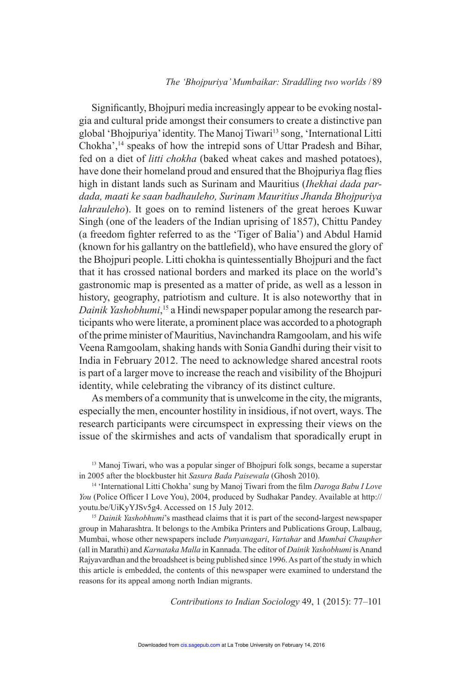Significantly, Bhojpuri media increasingly appear to be evoking nostalgia and cultural pride amongst their consumers to create a distinctive pan global 'Bhojpuriya' identity. The Manoj Tiwari<sup>13</sup> song, 'International Litti Chokha',<sup>14</sup> speaks of how the intrepid sons of Uttar Pradesh and Bihar, fed on a diet of *litti chokha* (baked wheat cakes and mashed potatoes), have done their homeland proud and ensured that the Bhojpuriya flag flies high in distant lands such as Surinam and Mauritius (*Ihekhai dada pardada, maati ke saan badhauleho, Surinam Mauritius Jhanda Bhojpuriya lahrauleho*). It goes on to remind listeners of the great heroes Kuwar Singh (one of the leaders of the Indian uprising of 1857), Chittu Pandey (a freedom fighter referred to as the 'Tiger of Balia') and Abdul Hamid (known for his gallantry on the battlefield), who have ensured the glory of the Bhojpuri people. Litti chokha is quintessentially Bhojpuri and the fact that it has crossed national borders and marked its place on the world's gastronomic map is presented as a matter of pride, as well as a lesson in history, geography, patriotism and culture. It is also noteworthy that in *Dainik Yashobhumi*, 15 a Hindi newspaper popular among the research participants who were literate, a prominent place was accorded to a photograph of the prime minister of Mauritius, Navinchandra Ramgoolam, and his wife Veena Ramgoolam, shaking hands with Sonia Gandhi during their visit to India in February 2012. The need to acknowledge shared ancestral roots is part of a larger move to increase the reach and visibility of the Bhojpuri identity, while celebrating the vibrancy of its distinct culture.

As members of a community that is unwelcome in the city, the migrants, especially the men, encounter hostility in insidious, if not overt, ways. The research participants were circumspect in expressing their views on the issue of the skirmishes and acts of vandalism that sporadically erupt in

<sup>13</sup> Manoj Tiwari, who was a popular singer of Bhojpuri folk songs, became a superstar in 2005 after the blockbuster hit *Sasura Bada Paisewala* (Ghosh 2010).

<sup>14</sup> 'International Litti Chokha' sung by Manoj Tiwari from the film *Daroga Babu I Love You* (Police Officer I Love You), 2004, produced by Sudhakar Pandey. Available at http:// youtu.be/UiKyYJSv5g4. Accessed on 15 July 2012.

<sup>15</sup> *Dainik Yashobhumi's* masthead claims that it is part of the second-largest newspaper group in Maharashtra. It belongs to the Ambika Printers and Publications Group, Lalbaug, Mumbai, whose other newspapers include *Punyanagari*, *Vartahar* and *Mumbai Chaupher* (all in Marathi) and *Karnataka Malla* in Kannada. The editor of *Dainik Yashobhumi* is Anand Rajyavardhan and the broadsheet is being published since 1996. As part of the study in which this article is embedded, the contents of this newspaper were examined to understand the reasons for its appeal among north Indian migrants.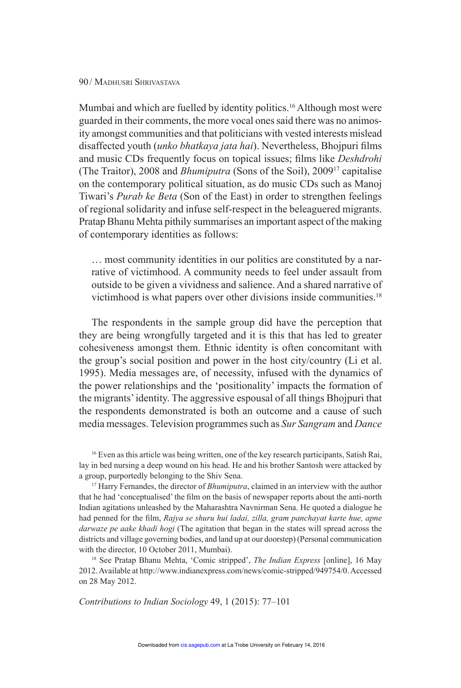#### 90 / Madhusri Shrivastava

Mumbai and which are fuelled by identity politics.<sup>16</sup> Although most were guarded in their comments, the more vocal ones said there was no animosity amongst communities and that politicians with vested interests mislead disaffected youth (*unko bhatkaya jata hai*). Nevertheless, Bhojpuri films and music CDs frequently focus on topical issues; films like *Deshdrohi* (The Traitor), 2008 and *Bhumiputra* (Sons of the Soil), 2009<sup>17</sup> capitalise on the contemporary political situation, as do music CDs such as Manoj Tiwari's *Purab ke Beta* (Son of the East) in order to strengthen feelings of regional solidarity and infuse self-respect in the beleaguered migrants. Pratap Bhanu Mehta pithily summarises an important aspect of the making of contemporary identities as follows:

… most community identities in our politics are constituted by a narrative of victimhood. A community needs to feel under assault from outside to be given a vividness and salience. And a shared narrative of victimhood is what papers over other divisions inside communities.<sup>18</sup>

The respondents in the sample group did have the perception that they are being wrongfully targeted and it is this that has led to greater cohesiveness amongst them. Ethnic identity is often concomitant with the group's social position and power in the host city/country (Li et al. 1995). Media messages are, of necessity, infused with the dynamics of the power relationships and the 'positionality' impacts the formation of the migrants' identity. The aggressive espousal of all things Bhojpuri that the respondents demonstrated is both an outcome and a cause of such media messages. Television programmes such as *Sur Sangram* and *Dance* 

<sup>16</sup> Even as this article was being written, one of the key research participants, Satish Rai, lay in bed nursing a deep wound on his head. He and his brother Santosh were attacked by a group, purportedly belonging to the Shiv Sena.

<sup>17</sup> Harry Fernandes, the director of *Bhumiputra*, claimed in an interview with the author that he had 'conceptualised' the film on the basis of newspaper reports about the anti-north Indian agitations unleashed by the Maharashtra Navnirman Sena. He quoted a dialogue he had penned for the film, *Rajya se shuru hui ladai, zilla, gram panchayat karte hue, apne darwaze pe aake khadi hogi* (The agitation that began in the states will spread across the districts and village governing bodies, and land up at our doorstep) (Personal communication with the director, 10 October 2011, Mumbai).

<sup>18</sup> See Pratap Bhanu Mehta, 'Comic stripped', *The Indian Express* [online], 16 May 2012. Available at http://www.indianexpress.com/news/comic-stripped/949754/0. Accessed on 28 May 2012.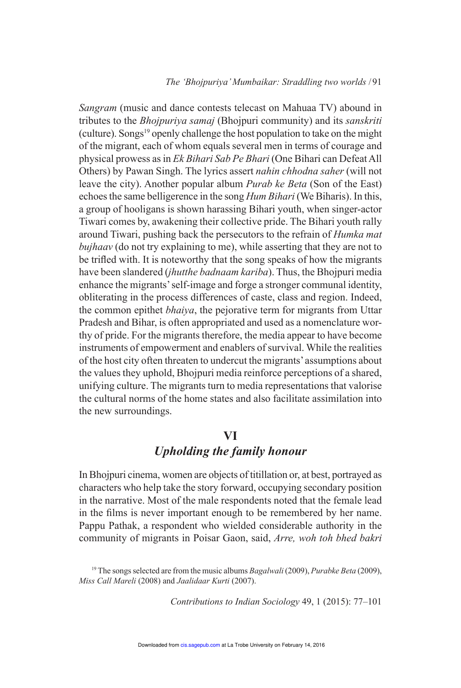*Sangram* (music and dance contests telecast on Mahuaa TV) abound in tributes to the *Bhojpuriya samaj* (Bhojpuri community) and its *sanskriti*  (culture). Songs<sup>19</sup> openly challenge the host population to take on the might of the migrant, each of whom equals several men in terms of courage and physical prowess as in *Ek Bihari Sab Pe Bhari* (One Bihari can Defeat All Others) by Pawan Singh. The lyrics assert *nahin chhodna saher* (will not leave the city). Another popular album *Purab ke Beta* (Son of the East) echoes the same belligerence in the song *Hum Bihari* (We Biharis). In this, a group of hooligans is shown harassing Bihari youth, when singer-actor Tiwari comes by, awakening their collective pride. The Bihari youth rally around Tiwari, pushing back the persecutors to the refrain of *Humka mat bujhaav* (do not try explaining to me), while asserting that they are not to be trifled with. It is noteworthy that the song speaks of how the migrants have been slandered (*jhutthe badnaam kariba*). Thus, the Bhojpuri media enhance the migrants' self-image and forge a stronger communal identity, obliterating in the process differences of caste, class and region. Indeed, the common epithet *bhaiya*, the pejorative term for migrants from Uttar Pradesh and Bihar, is often appropriated and used as a nomenclature worthy of pride. For the migrants therefore, the media appear to have become instruments of empowerment and enablers of survival. While the realities of the host city often threaten to undercut the migrants' assumptions about the values they uphold, Bhojpuri media reinforce perceptions of a shared, unifying culture. The migrants turn to media representations that valorise the cultural norms of the home states and also facilitate assimilation into the new surroundings.

## **VI**

## *Upholding the family honour*

In Bhojpuri cinema, women are objects of titillation or, at best, portrayed as characters who help take the story forward, occupying secondary position in the narrative. Most of the male respondents noted that the female lead in the films is never important enough to be remembered by her name. Pappu Pathak, a respondent who wielded considerable authority in the community of migrants in Poisar Gaon, said, *Arre, woh toh bhed bakri* 

<sup>19</sup> The songs selected are from the music albums *Bagalwali* (2009), *Purabke Beta* (2009), *Miss Call Mareli* (2008) and *Jaalidaar Kurti* (2007).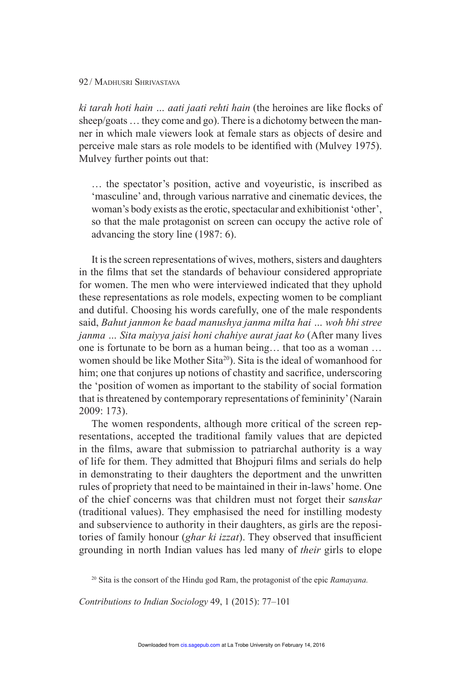*ki tarah hoti hain … aati jaati rehti hain* (the heroines are like flocks of sheep/goats ... they come and go). There is a dichotomy between the manner in which male viewers look at female stars as objects of desire and perceive male stars as role models to be identified with (Mulvey 1975). Mulvey further points out that:

… the spectator's position, active and voyeuristic, is inscribed as 'masculine' and, through various narrative and cinematic devices, the woman's body exists as the erotic, spectacular and exhibitionist 'other', so that the male protagonist on screen can occupy the active role of advancing the story line (1987: 6).

It is the screen representations of wives, mothers, sisters and daughters in the films that set the standards of behaviour considered appropriate for women. The men who were interviewed indicated that they uphold these representations as role models, expecting women to be compliant and dutiful. Choosing his words carefully, one of the male respondents said, *Bahut janmon ke baad manushya janma milta hai … woh bhi stree janma … Sita maiyya jaisi honi chahiye aurat jaat ko* (After many lives one is fortunate to be born as a human being… that too as a woman … women should be like Mother Sita<sup>20</sup>). Sita is the ideal of womanhood for him; one that conjures up notions of chastity and sacrifice, underscoring the 'position of women as important to the stability of social formation that is threatened by contemporary representations of femininity' (Narain 2009: 173).

The women respondents, although more critical of the screen representations, accepted the traditional family values that are depicted in the films, aware that submission to patriarchal authority is a way of life for them. They admitted that Bhojpuri films and serials do help in demonstrating to their daughters the deportment and the unwritten rules of propriety that need to be maintained in their in-laws' home. One of the chief concerns was that children must not forget their s*anskar* (traditional values). They emphasised the need for instilling modesty and subservience to authority in their daughters, as girls are the repositories of family honour (*ghar ki izzat*). They observed that insufficient grounding in north Indian values has led many of *their* girls to elope

<sup>20</sup> Sita is the consort of the Hindu god Ram, the protagonist of the epic *Ramayana.*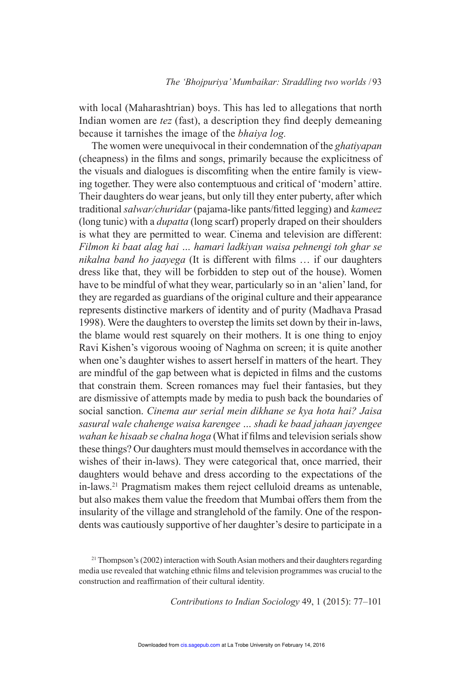with local (Maharashtrian) boys. This has led to allegations that north Indian women are *tez* (fast), a description they find deeply demeaning because it tarnishes the image of the *bhaiya log.*

The women were unequivocal in their condemnation of the *ghatiyapan* (cheapness) in the films and songs, primarily because the explicitness of the visuals and dialogues is discomfiting when the entire family is viewing together. They were also contemptuous and critical of 'modern' attire. Their daughters do wear jeans, but only till they enter puberty, after which traditional *salwar/churidar* (pajama-like pants/fitted legging) and *kameez*  (long tunic) with a *dupatta* (long scarf) properly draped on their shoulders is what they are permitted to wear. Cinema and television are different: *Filmon ki baat alag hai … hamari ladkiyan waisa pehnengi toh ghar se nikalna band ho jaayega* (It is different with films … if our daughters dress like that, they will be forbidden to step out of the house). Women have to be mindful of what they wear, particularly so in an 'alien' land, for they are regarded as guardians of the original culture and their appearance represents distinctive markers of identity and of purity (Madhava Prasad 1998). Were the daughters to overstep the limits set down by their in-laws, the blame would rest squarely on their mothers. It is one thing to enjoy Ravi Kishen's vigorous wooing of Naghma on screen; it is quite another when one's daughter wishes to assert herself in matters of the heart. They are mindful of the gap between what is depicted in films and the customs that constrain them. Screen romances may fuel their fantasies, but they are dismissive of attempts made by media to push back the boundaries of social sanction. *Cinema aur serial mein dikhane se kya hota hai? Jaisa sasural wale chahenge waisa karengee … shadi ke baad jahaan jayengee wahan ke hisaab se chalna hoga* (What if films and television serials show these things? Our daughters must mould themselves in accordance with the wishes of their in-laws). They were categorical that, once married, their daughters would behave and dress according to the expectations of the in-laws.<sup>21</sup> Pragmatism makes them reject celluloid dreams as untenable, but also makes them value the freedom that Mumbai offers them from the insularity of the village and stranglehold of the family. One of the respondents was cautiously supportive of her daughter's desire to participate in a

<sup>21</sup> Thompson's (2002) interaction with South Asian mothers and their daughters regarding media use revealed that watching ethnic films and television programmes was crucial to the construction and reaffirmation of their cultural identity.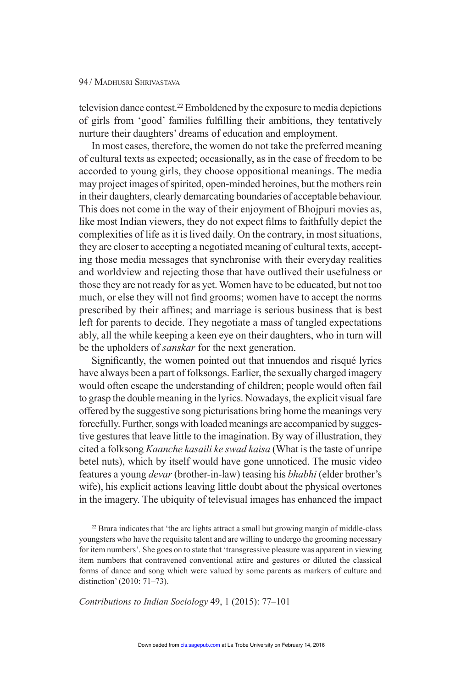television dance contest.<sup>22</sup> Emboldened by the exposure to media depictions of girls from 'good' families fulfilling their ambitions, they tentatively nurture their daughters' dreams of education and employment.

In most cases, therefore, the women do not take the preferred meaning of cultural texts as expected; occasionally, as in the case of freedom to be accorded to young girls, they choose oppositional meanings. The media may project images of spirited, open-minded heroines, but the mothers rein in their daughters, clearly demarcating boundaries of acceptable behaviour. This does not come in the way of their enjoyment of Bhojpuri movies as, like most Indian viewers, they do not expect films to faithfully depict the complexities of life as it is lived daily. On the contrary, in most situations, they are closer to accepting a negotiated meaning of cultural texts, accepting those media messages that synchronise with their everyday realities and worldview and rejecting those that have outlived their usefulness or those they are not ready for as yet. Women have to be educated, but not too much, or else they will not find grooms; women have to accept the norms prescribed by their affines; and marriage is serious business that is best left for parents to decide. They negotiate a mass of tangled expectations ably, all the while keeping a keen eye on their daughters, who in turn will be the upholders of *sanskar* for the next generation.

Significantly, the women pointed out that innuendos and risqué lyrics have always been a part of folksongs. Earlier, the sexually charged imagery would often escape the understanding of children; people would often fail to grasp the double meaning in the lyrics. Nowadays, the explicit visual fare offered by the suggestive song picturisations bring home the meanings very forcefully. Further, songs with loaded meanings are accompanied by suggestive gestures that leave little to the imagination. By way of illustration, they cited a folksong *Kaanche kasaili ke swad kaisa* (What is the taste of unripe betel nuts), which by itself would have gone unnoticed. The music video features a young *devar* (brother-in-law) teasing his *bhabhi* (elder brother's wife), his explicit actions leaving little doubt about the physical overtones in the imagery. The ubiquity of televisual images has enhanced the impact

<sup>22</sup> Brara indicates that 'the arc lights attract a small but growing margin of middle-class youngsters who have the requisite talent and are willing to undergo the grooming necessary for item numbers'. She goes on to state that 'transgressive pleasure was apparent in viewing item numbers that contravened conventional attire and gestures or diluted the classical forms of dance and song which were valued by some parents as markers of culture and distinction' (2010: 71–73).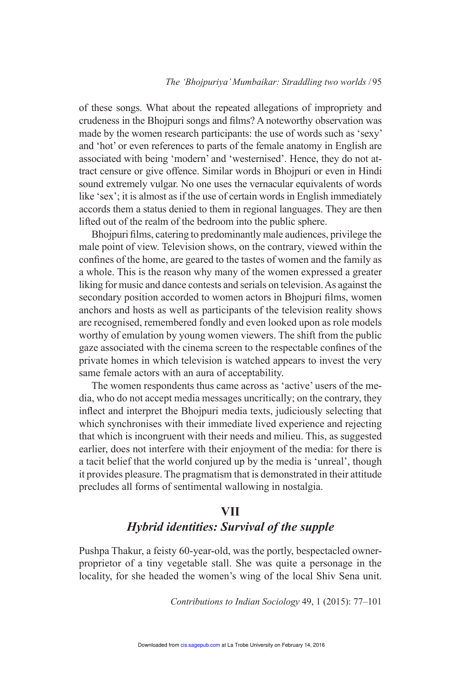of these songs. What about the repeated allegations of impropriety and crudeness in the Bhojpuri songs and films? A noteworthy observation was made by the women research participants: the use of words such as 'sexy' and 'hot' or even references to parts of the female anatomy in English are associated with being 'modern' and 'westernised'. Hence, they do not attract censure or give offence. Similar words in Bhojpuri or even in Hindi sound extremely vulgar. No one uses the vernacular equivalents of words like 'sex'; it is almost as if the use of certain words in English immediately accords them a status denied to them in regional languages. They are then lifted out of the realm of the bedroom into the public sphere.

Bhojpuri films, catering to predominantly male audiences, privilege the male point of view. Television shows, on the contrary, viewed within the confines of the home, are geared to the tastes of women and the family as a whole. This is the reason why many of the women expressed a greater liking for music and dance contests and serials on television. As against the secondary position accorded to women actors in Bhojpuri films, women anchors and hosts as well as participants of the television reality shows are recognised, remembered fondly and even looked upon as role models worthy of emulation by young women viewers. The shift from the public gaze associated with the cinema screen to the respectable confines of the private homes in which television is watched appears to invest the very same female actors with an aura of acceptability.

The women respondents thus came across as 'active' users of the media, who do not accept media messages uncritically; on the contrary, they inflect and interpret the Bhojpuri media texts, judiciously selecting that which synchronises with their immediate lived experience and rejecting that which is incongruent with their needs and milieu. This, as suggested earlier, does not interfere with their enjoyment of the media: for there is a tacit belief that the world conjured up by the media is 'unreal', though it provides pleasure. The pragmatism that is demonstrated in their attitude precludes all forms of sentimental wallowing in nostalgia.

## **VII**

# *Hybrid identities: Survival of the supple*

Pushpa Thakur, a feisty 60-year-old, was the portly, bespectacled ownerproprietor of a tiny vegetable stall. She was quite a personage in the locality, for she headed the women's wing of the local Shiv Sena unit.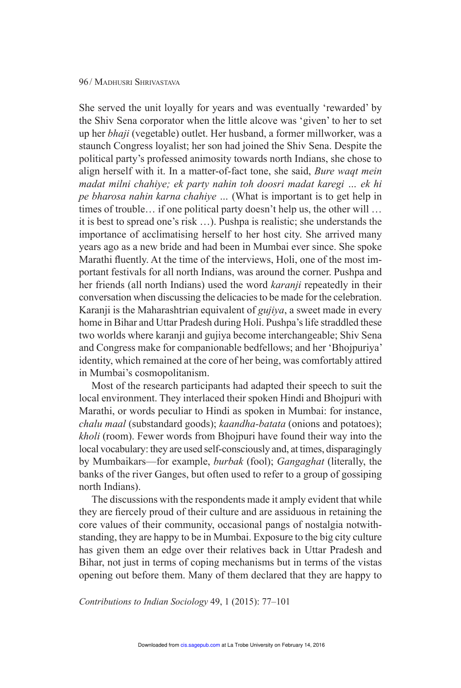She served the unit loyally for years and was eventually 'rewarded' by the Shiv Sena corporator when the little alcove was 'given' to her to set up her *bhaji* (vegetable) outlet. Her husband, a former millworker, was a staunch Congress loyalist; her son had joined the Shiv Sena. Despite the political party's professed animosity towards north Indians, she chose to align herself with it. In a matter-of-fact tone, she said, *Bure waqt mein madat milni chahiye; ek party nahin toh doosri madat karegi … ek hi pe bharosa nahin karna chahiye …* (What is important is to get help in times of trouble… if one political party doesn't help us, the other will … it is best to spread one's risk …). Pushpa is realistic; she understands the importance of acclimatising herself to her host city. She arrived many years ago as a new bride and had been in Mumbai ever since. She spoke Marathi fluently. At the time of the interviews, Holi, one of the most important festivals for all north Indians, was around the corner. Pushpa and her friends (all north Indians) used the word *karanji* repeatedly in their conversation when discussing the delicacies to be made for the celebration. Karanji is the Maharashtrian equivalent of *gujiya*, a sweet made in every home in Bihar and Uttar Pradesh during Holi. Pushpa's life straddled these two worlds where karanji and gujiya become interchangeable; Shiv Sena and Congress make for companionable bedfellows; and her 'Bhojpuriya' identity, which remained at the core of her being, was comfortably attired in Mumbai's cosmopolitanism.

Most of the research participants had adapted their speech to suit the local environment. They interlaced their spoken Hindi and Bhojpuri with Marathi, or words peculiar to Hindi as spoken in Mumbai: for instance, *chalu maal* (substandard goods); *kaandha-batata* (onions and potatoes); *kholi* (room). Fewer words from Bhojpuri have found their way into the local vocabulary: they are used self-consciously and, at times, disparagingly by Mumbaikars—for example, *burbak* (fool); *Gangaghat* (literally, the banks of the river Ganges, but often used to refer to a group of gossiping north Indians).

The discussions with the respondents made it amply evident that while they are fiercely proud of their culture and are assiduous in retaining the core values of their community, occasional pangs of nostalgia notwithstanding, they are happy to be in Mumbai. Exposure to the big city culture has given them an edge over their relatives back in Uttar Pradesh and Bihar, not just in terms of coping mechanisms but in terms of the vistas opening out before them. Many of them declared that they are happy to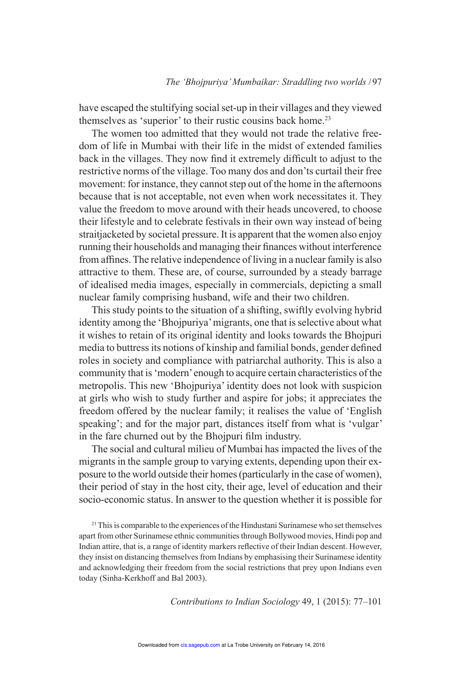have escaped the stultifying social set-up in their villages and they viewed themselves as 'superior' to their rustic cousins back home.<sup>23</sup>

The women too admitted that they would not trade the relative freedom of life in Mumbai with their life in the midst of extended families back in the villages. They now find it extremely difficult to adjust to the restrictive norms of the village. Too many dos and don'ts curtail their free movement: for instance, they cannot step out of the home in the afternoons because that is not acceptable, not even when work necessitates it. They value the freedom to move around with their heads uncovered, to choose their lifestyle and to celebrate festivals in their own way instead of being straitjacketed by societal pressure. It is apparent that the women also enjoy running their households and managing their finances without interference from affines. The relative independence of living in a nuclear family is also attractive to them. These are, of course, surrounded by a steady barrage of idealised media images, especially in commercials, depicting a small nuclear family comprising husband, wife and their two children.

This study points to the situation of a shifting, swiftly evolving hybrid identity among the 'Bhojpuriya' migrants, one that is selective about what it wishes to retain of its original identity and looks towards the Bhojpuri media to buttress its notions of kinship and familial bonds, gender defined roles in society and compliance with patriarchal authority. This is also a community that is 'modern' enough to acquire certain characteristics of the metropolis. This new 'Bhojpuriya' identity does not look with suspicion at girls who wish to study further and aspire for jobs; it appreciates the freedom offered by the nuclear family; it realises the value of 'English speaking'; and for the major part, distances itself from what is 'vulgar' in the fare churned out by the Bhojpuri film industry.

The social and cultural milieu of Mumbai has impacted the lives of the migrants in the sample group to varying extents, depending upon their exposure to the world outside their homes (particularly in the case of women), their period of stay in the host city, their age, level of education and their socio-economic status. In answer to the question whether it is possible for

<sup>23</sup> This is comparable to the experiences of the Hindustani Surinamese who set themselves apart from other Surinamese ethnic communities through Bollywood movies, Hindi pop and Indian attire, that is, a range of identity markers reflective of their Indian descent. However, they insist on distancing themselves from Indians by emphasising their Surinamese identity and acknowledging their freedom from the social restrictions that prey upon Indians even today (Sinha-Kerkhoff and Bal 2003).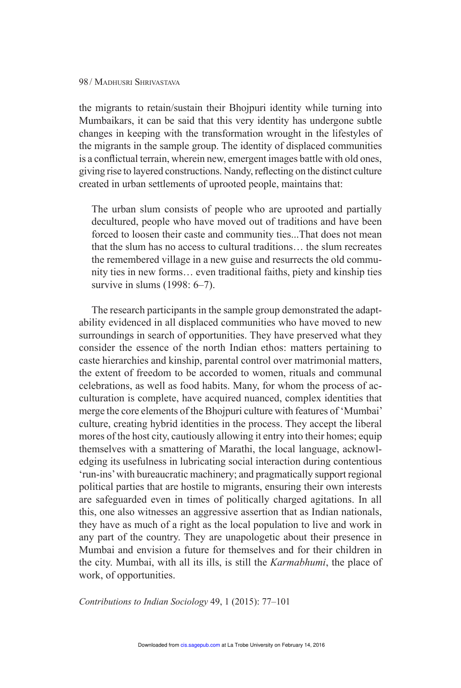the migrants to retain/sustain their Bhojpuri identity while turning into Mumbaikars, it can be said that this very identity has undergone subtle changes in keeping with the transformation wrought in the lifestyles of the migrants in the sample group. The identity of displaced communities is a conflictual terrain, wherein new, emergent images battle with old ones, giving rise to layered constructions. Nandy, reflecting on the distinct culture created in urban settlements of uprooted people, maintains that:

The urban slum consists of people who are uprooted and partially decultured, people who have moved out of traditions and have been forced to loosen their caste and community ties...That does not mean that the slum has no access to cultural traditions… the slum recreates the remembered village in a new guise and resurrects the old community ties in new forms… even traditional faiths, piety and kinship ties survive in slums (1998: 6–7).

The research participants in the sample group demonstrated the adaptability evidenced in all displaced communities who have moved to new surroundings in search of opportunities. They have preserved what they consider the essence of the north Indian ethos: matters pertaining to caste hierarchies and kinship, parental control over matrimonial matters, the extent of freedom to be accorded to women, rituals and communal celebrations, as well as food habits. Many, for whom the process of acculturation is complete, have acquired nuanced, complex identities that merge the core elements of the Bhojpuri culture with features of 'Mumbai' culture, creating hybrid identities in the process. They accept the liberal mores of the host city, cautiously allowing it entry into their homes; equip themselves with a smattering of Marathi, the local language, acknowledging its usefulness in lubricating social interaction during contentious 'run-ins' with bureaucratic machinery; and pragmatically support regional political parties that are hostile to migrants, ensuring their own interests are safeguarded even in times of politically charged agitations. In all this, one also witnesses an aggressive assertion that as Indian nationals, they have as much of a right as the local population to live and work in any part of the country. They are unapologetic about their presence in Mumbai and envision a future for themselves and for their children in the city. Mumbai, with all its ills, is still the *Karmabhumi*, the place of work, of opportunities.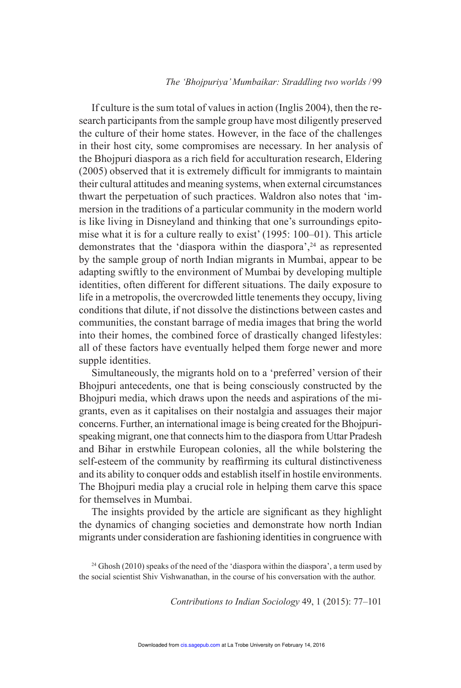If culture is the sum total of values in action (Inglis 2004), then the research participants from the sample group have most diligently preserved the culture of their home states. However, in the face of the challenges in their host city, some compromises are necessary. In her analysis of the Bhojpuri diaspora as a rich field for acculturation research, Eldering (2005) observed that it is extremely difficult for immigrants to maintain their cultural attitudes and meaning systems, when external circumstances thwart the perpetuation of such practices. Waldron also notes that 'immersion in the traditions of a particular community in the modern world is like living in Disneyland and thinking that one's surroundings epitomise what it is for a culture really to exist' (1995: 100–01). This article demonstrates that the 'diaspora within the diaspora',<sup>24</sup> as represented by the sample group of north Indian migrants in Mumbai, appear to be adapting swiftly to the environment of Mumbai by developing multiple identities, often different for different situations. The daily exposure to life in a metropolis, the overcrowded little tenements they occupy, living conditions that dilute, if not dissolve the distinctions between castes and communities, the constant barrage of media images that bring the world into their homes, the combined force of drastically changed lifestyles: all of these factors have eventually helped them forge newer and more supple identities.

Simultaneously, the migrants hold on to a 'preferred' version of their Bhojpuri antecedents, one that is being consciously constructed by the Bhojpuri media, which draws upon the needs and aspirations of the migrants, even as it capitalises on their nostalgia and assuages their major concerns. Further, an international image is being created for the Bhojpurispeaking migrant, one that connects him to the diaspora from Uttar Pradesh and Bihar in erstwhile European colonies, all the while bolstering the self-esteem of the community by reaffirming its cultural distinctiveness and its ability to conquer odds and establish itself in hostile environments. The Bhojpuri media play a crucial role in helping them carve this space for themselves in Mumbai.

The insights provided by the article are significant as they highlight the dynamics of changing societies and demonstrate how north Indian migrants under consideration are fashioning identities in congruence with

 $24$  Ghosh (2010) speaks of the need of the 'diaspora within the diaspora', a term used by the social scientist Shiv Vishwanathan, in the course of his conversation with the author.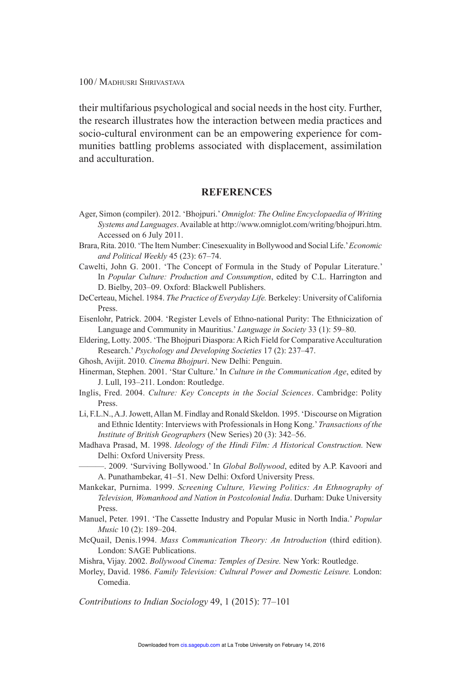their multifarious psychological and social needs in the host city. Further, the research illustrates how the interaction between media practices and socio-cultural environment can be an empowering experience for communities battling problems associated with displacement, assimilation and acculturation.

#### **REFERENCES**

- Ager, Simon (compiler). 2012. 'Bhojpuri.' *Omniglot: The Online Encyclopaedia of Writing Systems and Languages*. Available at http://www.omniglot.com/writing/bhojpuri.htm. Accessed on 6 July 2011.
- Brara, Rita. 2010. 'The Item Number: Cinesexuality in Bollywood and Social Life.' *Economic and Political Weekly* 45 (23): 67–74.
- Cawelti, John G. 2001. 'The Concept of Formula in the Study of Popular Literature.' In *Popular Culture: Production and Consumption*, edited by C.L. Harrington and D. Bielby, 203–09. Oxford: Blackwell Publishers.
- DeCerteau, Michel. 1984. *The Practice of Everyday Life.* Berkeley: University of California Press.
- Eisenlohr, Patrick. 2004. 'Register Levels of Ethno-national Purity: The Ethnicization of Language and Community in Mauritius.' *Language in Society* 33 (1): 59–80.
- Eldering, Lotty. 2005. 'The Bhojpuri Diaspora: A Rich Field for Comparative Acculturation Research.' *Psychology and Developing Societies* 17 (2): 237–47.
- Ghosh, Avijit. 2010. *Cinema Bhojpuri*. New Delhi: Penguin.
- Hinerman, Stephen. 2001. 'Star Culture.' In *Culture in the Communication Age*, edited by J. Lull, 193–211. London: Routledge.
- Inglis, Fred. 2004. *Culture: Key Concepts in the Social Sciences*. Cambridge: Polity Press.
- Li, F.L.N., A.J. Jowett, Allan M. Findlay and Ronald Skeldon. 1995. 'Discourse on Migration and Ethnic Identity: Interviews with Professionals in Hong Kong.' *Transactions of the Institute of British Geographers* (New Series) 20 (3): 342–56.
- Madhava Prasad, M. 1998. *Ideology of the Hindi Film: A Historical Construction.* New Delhi: Oxford University Press.
	- ———. 2009. 'Surviving Bollywood.' In *Global Bollywood*, edited by A.P. Kavoori and A. Punathambekar, 41–51. New Delhi: Oxford University Press.
- Mankekar, Purnima. 1999. *Screening Culture, Viewing Politics: An Ethnography of Television, Womanhood and Nation in Postcolonial India*. Durham: Duke University Press.
- Manuel, Peter. 1991. 'The Cassette Industry and Popular Music in North India.' *Popular Music* 10 (2): 189–204.
- McQuail, Denis.1994. *Mass Communication Theory: An Introduction* (third edition). London: SAGE Publications.
- Mishra, Vijay. 2002. *Bollywood Cinema: Temples of Desire.* New York: Routledge.
- Morley, David. 1986. *Family Television: Cultural Power and Domestic Leisure.* London: Comedia.